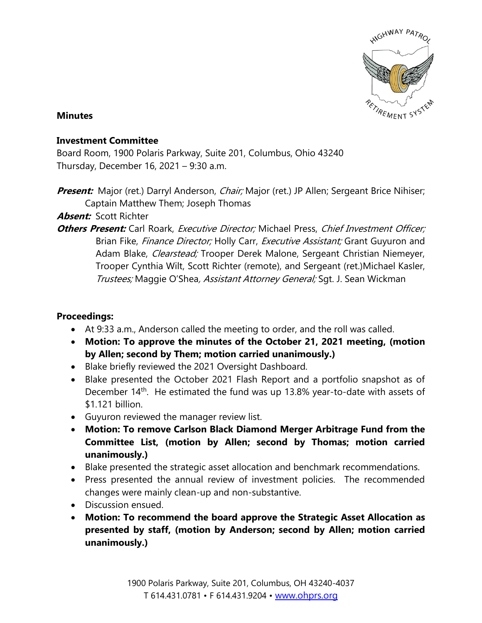

## **Minutes**

## **Investment Committee**

Board Room, 1900 Polaris Parkway, Suite 201, Columbus, Ohio 43240 Thursday, December 16, 2021 – 9:30 a.m.

**Present:** Major (ret.) Darryl Anderson, *Chair;* Major (ret.) JP Allen; Sergeant Brice Nihiser; Captain Matthew Them; Joseph Thomas

## **Absent:** Scott Richter

**Others Present:** Carl Roark, *Executive Director;* Michael Press, *Chief Investment Officer;* Brian Fike, Finance Director; Holly Carr, Executive Assistant; Grant Guyuron and Adam Blake, *Clearstead;* Trooper Derek Malone, Sergeant Christian Niemeyer, Trooper Cynthia Wilt, Scott Richter (remote), and Sergeant (ret.)Michael Kasler, Trustees; Maggie O'Shea, Assistant Attorney General; Sgt. J. Sean Wickman

## **Proceedings:**

- At 9:33 a.m., Anderson called the meeting to order, and the roll was called.
- **Motion: To approve the minutes of the October 21, 2021 meeting, (motion by Allen; second by Them; motion carried unanimously.)**
- Blake briefly reviewed the 2021 Oversight Dashboard.
- Blake presented the October 2021 Flash Report and a portfolio snapshot as of December 14<sup>th</sup>. He estimated the fund was up 13.8% year-to-date with assets of \$1.121 billion.
- Guyuron reviewed the manager review list.
- **Motion: To remove Carlson Black Diamond Merger Arbitrage Fund from the Committee List, (motion by Allen; second by Thomas; motion carried unanimously.)**
- Blake presented the strategic asset allocation and benchmark recommendations.
- Press presented the annual review of investment policies. The recommended changes were mainly clean-up and non-substantive.
- Discussion ensued.
- **Motion: To recommend the board approve the Strategic Asset Allocation as presented by staff, (motion by Anderson; second by Allen; motion carried unanimously.)**